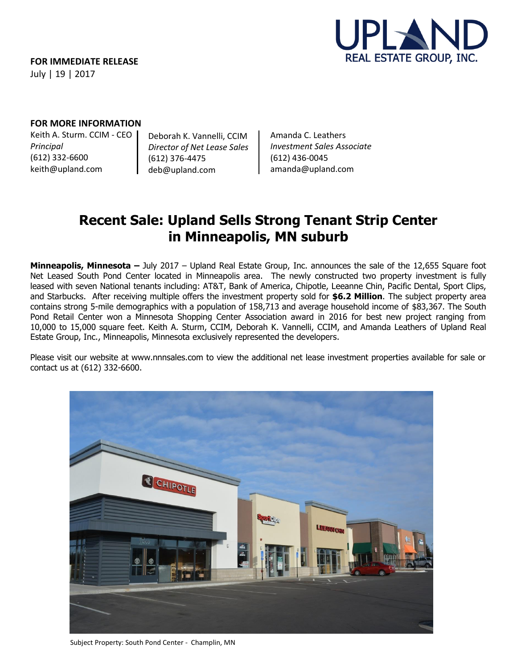

## **FOR MORE INFORMATION**

Keith A. Sturm. CCIM - CEO *Principal* (612) 332-6600 keith@upland.com

Deborah K. Vannelli, CCIM *Director of Net Lease Sales* (612) 376-4475 deb@upland.com

Amanda C. Leathers *Investment Sales Associate* (612) 436-0045 amanda@upland.com

## **Recent Sale: Upland Sells Strong Tenant Strip Center in Minneapolis, MN suburb**

**Minneapolis, Minnesota –** July 2017 – Upland Real Estate Group, Inc. announces the sale of the 12,655 Square foot Net Leased South Pond Center located in Minneapolis area. The newly constructed two property investment is fully leased with seven National tenants including: AT&T, Bank of America, Chipotle, Leeanne Chin, Pacific Dental, Sport Clips, and Starbucks. After receiving multiple offers the investment property sold for **\$6.2 Million**. The subject property area contains strong 5-mile demographics with a population of 158,713 and average household income of \$83,367. The South Pond Retail Center won a Minnesota Shopping Center Association award in 2016 for best new project ranging from 10,000 to 15,000 square feet. Keith A. Sturm, CCIM, Deborah K. Vannelli, CCIM, and Amanda Leathers of Upland Real Estate Group, Inc., Minneapolis, Minnesota exclusively represented the developers.

Please visit our website at www.nnnsales.com to view the additional net lease investment properties available for sale or contact us at (612) 332-6600.



Subject Property: South Pond Center - Champlin, MN